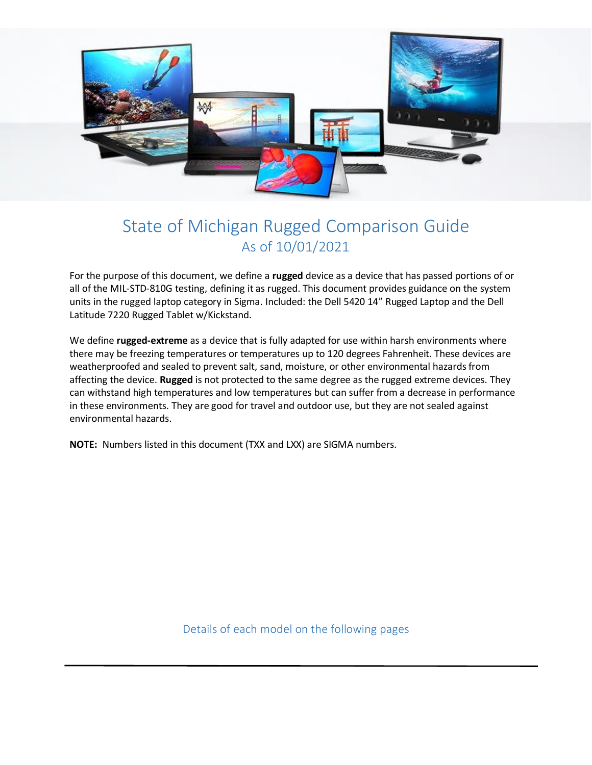

# State of Michigan Rugged Comparison Guide As of 10/01/2021

For the purpose of this document, we define a **rugged** device as a device that has passed portions of or all of the MIL-STD-810G testing, defining it as rugged. This document provides guidance on the system units in the rugged laptop category in Sigma. Included: the Dell 5420 14" Rugged Laptop and the Dell Latitude 7220 Rugged Tablet w/Kickstand.

We define **rugged-extreme** as a device that is fully adapted for use within harsh environments where there may be freezing temperatures or temperatures up to 120 degrees Fahrenheit. These devices are weatherproofed and sealed to prevent salt, sand, moisture, or other environmental hazards from affecting the device. **Rugged** is not protected to the same degree as the rugged extreme devices. They can withstand high temperatures and low temperatures but can suffer from a decrease in performance in these environments. They are good for travel and outdoor use, but they are not sealed against environmental hazards.

**NOTE:** Numbers listed in this document (TXX and LXX) are SIGMA numbers.

Details of each model on the following pages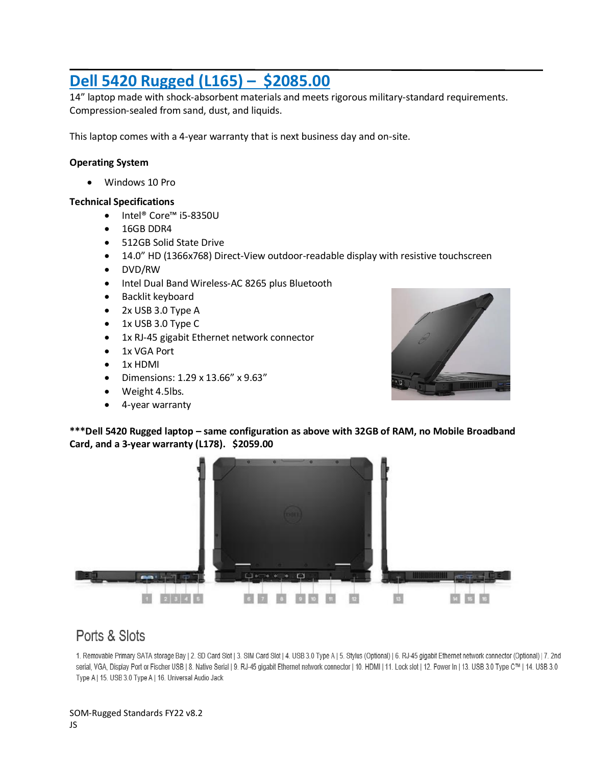## **Dell 5420 Rugged (L165) – \$2085.00**

14" laptop made with shock-absorbent materials and meets rigorous military-standard requirements. Compression-sealed from sand, dust, and liquids.

This laptop comes with a 4-year warranty that is next business day and on-site.

#### **Operating System**

• Windows 10 Pro

#### **Technical Specifications**

- Intel® Core™ i5-8350U
- 16GB DDR4
- 512GB Solid State Drive
- 14.0" HD (1366x768) Direct-View outdoor-readable display with resistive touchscreen
- DVD/RW
- Intel Dual Band Wireless-AC 8265 plus Bluetooth
- Backlit keyboard
- 2x USB 3.0 Type A
- 1x USB 3.0 Type C
- 1x RJ-45 gigabit Ethernet network connector
- 1x VGA Port
- 1x HDMI
- Dimensions: 1.29 x 13.66" x 9.63"
- Weight 4.5lbs.
- 4-year warranty



**\*\*\*Dell 5420 Rugged laptop – same configuration as above with 32GB of RAM, no Mobile Broadband Card, and a 3-year warranty (L178). \$2059.00**



## Ports & Slots

1. Removable Primary SATA storage Bay | 2. SD Card Slot | 3. SIM Card Slot | 4. USB 3.0 Type A | 5. Stylus (Optional) | 6. RJ-45 gigabit Ethernet network connector (Optional) | 7. 2nd serial, VGA, Display Port or Fischer USB | 8. Native Serial | 9. RJ-45 gigabit Ethernet network connector | 10. HDMI | 11. Lock slot | 12. Power In | 13. USB 3.0 Type C™ | 14. USB 3.0 Type A | 15. USB 3.0 Type A | 16. Universal Audio Jack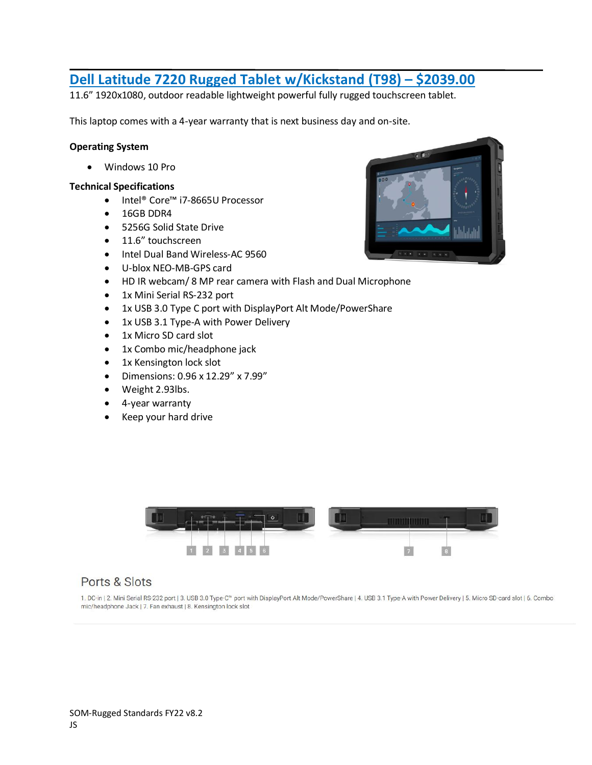### **Dell Latitude 7220 Rugged Tablet w/Kickstand (T98) – \$2039.00**

11.6" 1920x1080, outdoor readable lightweight powerful fully rugged touchscreen tablet.

This laptop comes with a 4-year warranty that is next business day and on-site.

#### **Operating System**

• Windows 10 Pro

#### **Technical Specifications**

- Intel® Core™ i7-8665U Processor
- 16GB DDR4
- 5256G Solid State Drive
- 11.6" touchscreen
- Intel Dual Band Wireless-AC 9560
- U-blox NEO-MB-GPS card
- HD IR webcam/ 8 MP rear camera with Flash and Dual Microphone
- 1x Mini Serial RS-232 port
- 1x USB 3.0 Type C port with DisplayPort Alt Mode/PowerShare
- 1x USB 3.1 Type-A with Power Delivery
- 1x Micro SD card slot
- 1x Combo mic/headphone jack
- 1x Kensington lock slot
- Dimensions: 0.96 x 12.29" x 7.99"
- Weight 2.93lbs.
- 4-year warranty
- Keep your hard drive





### Ports & Slots

1. DC-in | 2. Mini Serial RS-232 port | 3. USB 3.0 Type-C" port with DisplayPort Alt Mode/PowerShare | 4. USB 3.1 Type-A with Power Delivery | 5. Micro SD-card slot | 6. Combo mic/headphone Jack | 7. Fan exhaust | 8. Kensington lock slot